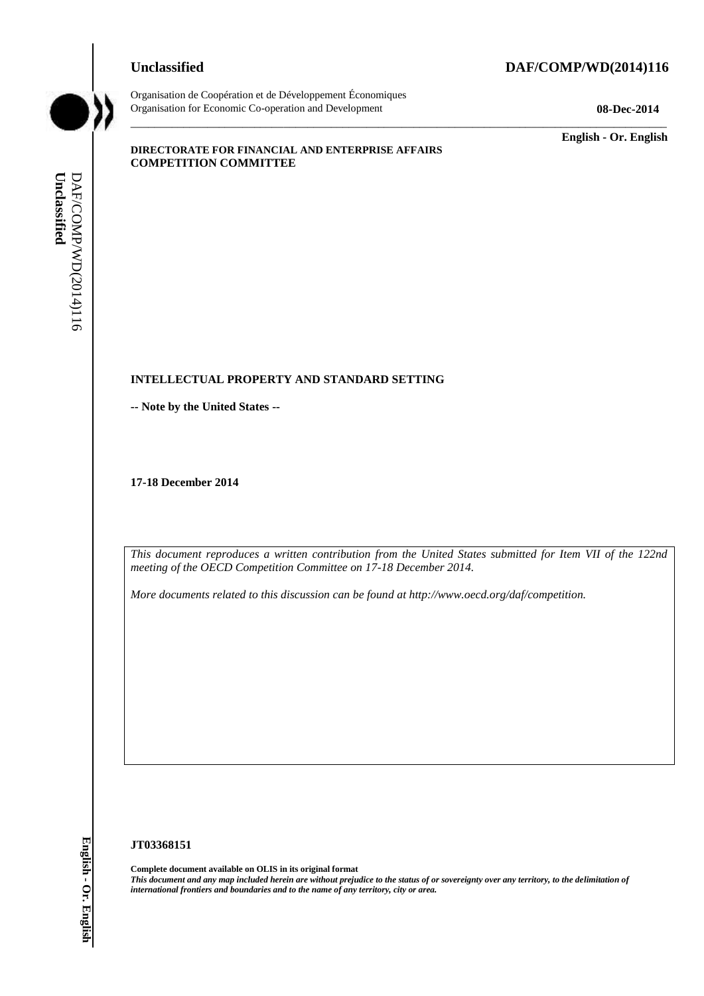## **Unclassified DAF/COMP/WD(2014)116**



Organisation de Coopération et de Développement Économiques Organisation for Economic Co-operation and Development **08-Dec-2014**

\_\_\_\_\_\_\_\_\_\_\_\_\_ **English - Or. English**

#### **DIRECTORATE FOR FINANCIAL AND ENTERPRISE AFFAIRS COMPETITION COMMITTEE**

## **INTELLECTUAL PROPERTY AND STANDARD SETTING**

**-- Note by the United States --**

**17-18 December 2014**

*This document reproduces a written contribution from the United States submitted for Item VII of the 122nd meeting of the OECD Competition Committee on 17-18 December 2014.*

\_\_\_\_\_\_\_\_\_\_\_\_\_\_\_\_\_\_\_\_\_\_\_\_\_\_\_\_\_\_\_\_\_\_\_\_\_\_\_\_\_\_\_\_\_\_\_\_\_\_\_\_\_\_\_\_\_\_\_\_\_\_\_\_\_\_\_\_\_\_\_\_\_\_\_\_\_\_\_\_\_\_\_\_\_\_\_\_\_\_\_

*More documents related to this discussion can be found at http://www.oecd.org/daf/competition.*

#### **JT03368151**

**Complete document available on OLIS in its original format** *This document and any map included herein are without prejudice to the status of or sovereignty over any territory, to the delimitation of*  **iii** *international frontiers and boundaries and boundaries and boundaries and boundaries and boundaries and boundaries and the name of any territory, city or area.<br> I7-18 December 2014<br> IT is documents related to thi*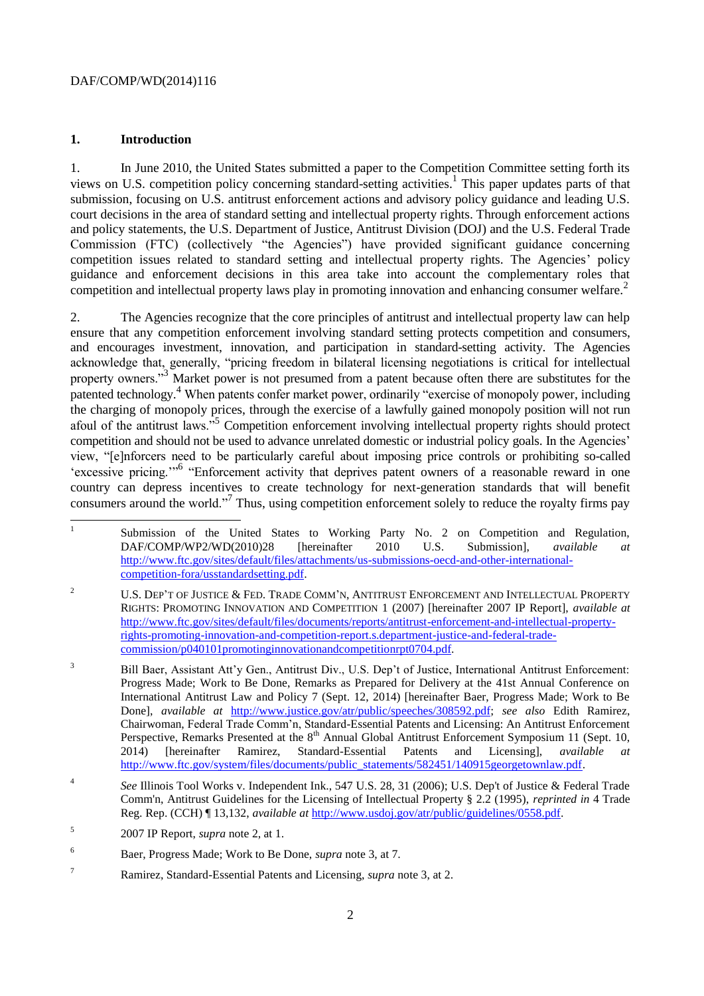## **1. Introduction**

1. In June 2010, the United States submitted a paper to the Competition Committee setting forth its views on U.S. competition policy concerning standard-setting activities.<sup>1</sup> This paper updates parts of that submission, focusing on U.S. antitrust enforcement actions and advisory policy guidance and leading U.S. court decisions in the area of standard setting and intellectual property rights. Through enforcement actions and policy statements, the U.S. Department of Justice, Antitrust Division (DOJ) and the U.S. Federal Trade Commission (FTC) (collectively "the Agencies") have provided significant guidance concerning competition issues related to standard setting and intellectual property rights. The Agencies' policy guidance and enforcement decisions in this area take into account the complementary roles that competition and intellectual property laws play in promoting innovation and enhancing consumer welfare.<sup>2</sup>

2. The Agencies recognize that the core principles of antitrust and intellectual property law can help ensure that any competition enforcement involving standard setting protects competition and consumers, and encourages investment, innovation, and participation in standard-setting activity. The Agencies acknowledge that, generally, "pricing freedom in bilateral licensing negotiations is critical for intellectual property owners.<sup>33</sup> Market power is not presumed from a patent because often there are substitutes for the patented technology.<sup>4</sup> When patents confer market power, ordinarily "exercise of monopoly power, including the charging of monopoly prices, through the exercise of a lawfully gained monopoly position will not run afoul of the antitrust laws."<sup>5</sup> Competition enforcement involving intellectual property rights should protect competition and should not be used to advance unrelated domestic or industrial policy goals. In the Agencies' view, "[e]nforcers need to be particularly careful about imposing price controls or prohibiting so-called 'excessive pricing."<sup>6</sup> "Enforcement activity that deprives patent owners of a reasonable reward in one country can depress incentives to create technology for next-generation standards that will benefit consumers around the world."<sup>7</sup> Thus, using competition enforcement solely to reduce the royalty firms pay

 $\frac{1}{1}$ Submission of the United States to Working Party No. 2 on Competition and Regulation, DAF/COMP/WP2/WD(2010)28 [hereinafter 2010 U.S. Submission], *available at* [http://www.ftc.gov/sites/default/files/attachments/us-submissions-oecd-and-other-international](http://www.ftc.gov/sites/default/files/attachments/us-submissions-oecd-and-other-international-competition-fora/usstandardsetting.pdf)[competition-fora/usstandardsetting.pdf.](http://www.ftc.gov/sites/default/files/attachments/us-submissions-oecd-and-other-international-competition-fora/usstandardsetting.pdf) 

<sup>&</sup>lt;sup>2</sup> U.S. DEP'T OF JUSTICE & FED. TRADE COMM'N, ANTITRUST ENFORCEMENT AND INTELLECTUAL PROPERTY RIGHTS: PROMOTING INNOVATION AND COMPETITION 1 (2007) [hereinafter 2007 IP Report], *available at* [http://www.ftc.gov/sites/default/files/documents/reports/antitrust-enforcement-and-intellectual-property](http://www.ftc.gov/sites/default/files/documents/reports/antitrust-enforcement-and-intellectual-property-rights-promoting-innovation-and-competition-report.s.department-justice-and-federal-trade-commission/p040101promotinginnovationandcompetitionrpt0704.pdf)[rights-promoting-innovation-and-competition-report.s.department-justice-and-federal-trade](http://www.ftc.gov/sites/default/files/documents/reports/antitrust-enforcement-and-intellectual-property-rights-promoting-innovation-and-competition-report.s.department-justice-and-federal-trade-commission/p040101promotinginnovationandcompetitionrpt0704.pdf)[commission/p040101promotinginnovationandcompetitionrpt0704.pdf.](http://www.ftc.gov/sites/default/files/documents/reports/antitrust-enforcement-and-intellectual-property-rights-promoting-innovation-and-competition-report.s.department-justice-and-federal-trade-commission/p040101promotinginnovationandcompetitionrpt0704.pdf)

<sup>&</sup>lt;sup>3</sup> Bill Baer, Assistant Att'y Gen., Antitrust Div., U.S. Dep't of Justice, International Antitrust Enforcement: Progress Made; Work to Be Done, Remarks as Prepared for Delivery at the 41st Annual Conference on International Antitrust Law and Policy 7 (Sept. 12, 2014) [hereinafter Baer, Progress Made; Work to Be Done], *available at* [http://www.justice.gov/atr/public/speeches/308592.pdf;](http://www.justice.gov/atr/public/speeches/308592.pdf) *see also* Edith Ramirez, Chairwoman, Federal Trade Comm'n, Standard-Essential Patents and Licensing: An Antitrust Enforcement Perspective, Remarks Presented at the 8<sup>th</sup> Annual Global Antitrust Enforcement Symposium 11 (Sept. 10, 2014) [hereinafter Ramirez, Standard-Essential Patents and Licensing], *available at* [http://www.ftc.gov/system/files/documents/public\\_statements/582451/140915georgetownlaw.pdf.](http://www.ftc.gov/system/files/documents/public_statements/582451/140915georgetownlaw.pdf)

<sup>4</sup> *See* Illinois Tool Works v. Independent Ink., 547 U.S. 28, 31 (2006); U.S. Dep't of Justice & Federal Trade Comm'n, Antitrust Guidelines for the Licensing of Intellectual Property § 2.2 (1995), *reprinted in* 4 Trade Reg. Rep. (CCH) ¶ 13,132, *available at* [http://www.usdoj.gov/atr/public/guidelines/0558.pdf.](http://www.usdoj.gov/atr/public/guidelines/0558.pdf)

<sup>5</sup> 2007 IP Report, *supra* note 2, at 1.

<sup>6</sup> Baer, Progress Made; Work to Be Done, *supra* note 3, at 7.

<sup>7</sup> Ramirez, Standard-Essential Patents and Licensing, *supra* note 3, at 2.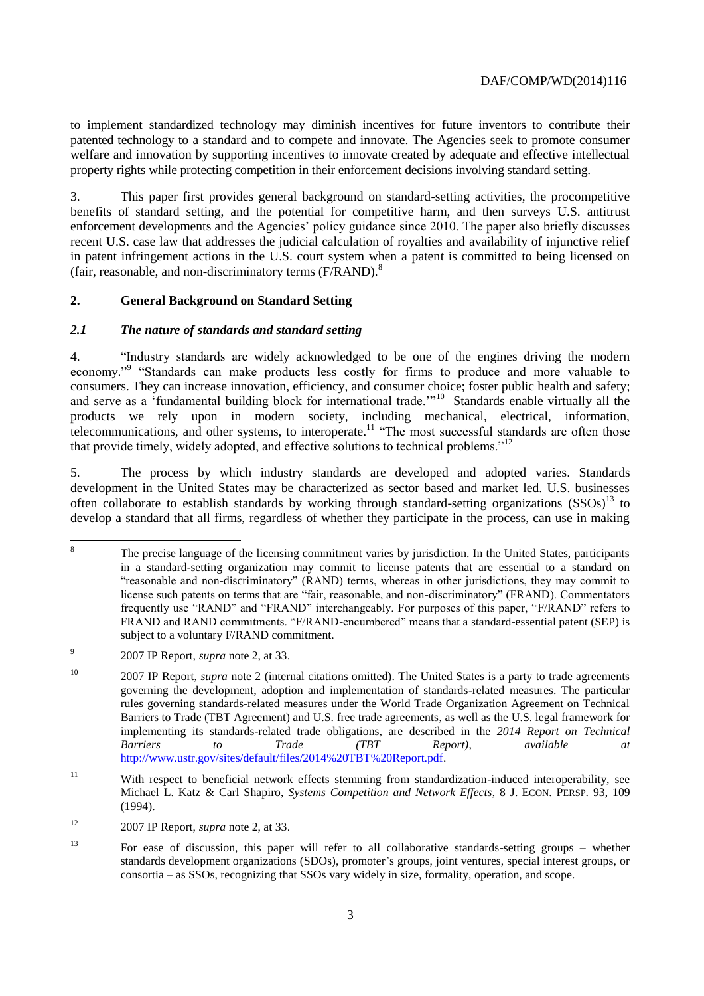to implement standardized technology may diminish incentives for future inventors to contribute their patented technology to a standard and to compete and innovate. The Agencies seek to promote consumer welfare and innovation by supporting incentives to innovate created by adequate and effective intellectual property rights while protecting competition in their enforcement decisions involving standard setting.

3. This paper first provides general background on standard-setting activities, the procompetitive benefits of standard setting, and the potential for competitive harm, and then surveys U.S. antitrust enforcement developments and the Agencies' policy guidance since 2010. The paper also briefly discusses recent U.S. case law that addresses the judicial calculation of royalties and availability of injunctive relief in patent infringement actions in the U.S. court system when a patent is committed to being licensed on (fair, reasonable, and non-discriminatory terms  $(F/RAND)^8$ ).

# **2. General Background on Standard Setting**

## *2.1 The nature of standards and standard setting*

4. "Industry standards are widely acknowledged to be one of the engines driving the modern economy."<sup>9</sup> "Standards can make products less costly for firms to produce and more valuable to consumers. They can increase innovation, efficiency, and consumer choice; foster public health and safety; and serve as a 'fundamental building block for international trade.'"<sup>10</sup> Standards enable virtually all the products we rely upon in modern society, including mechanical, electrical, information, telecommunications, and other systems, to interoperate.<sup>11</sup> "The most successful standards are often those that provide timely, widely adopted, and effective solutions to technical problems."<sup>12</sup>

5. The process by which industry standards are developed and adopted varies. Standards development in the United States may be characterized as sector based and market led. U.S. businesses often collaborate to establish standards by working through standard-setting organizations  $(SSSOs)^{13}$  to develop a standard that all firms, regardless of whether they participate in the process, can use in making

<sup>8</sup> <sup>8</sup> The precise language of the licensing commitment varies by jurisdiction. In the United States, participants in a standard-setting organization may commit to license patents that are essential to a standard on "reasonable and non-discriminatory" (RAND) terms, whereas in other jurisdictions, they may commit to license such patents on terms that are "fair, reasonable, and non-discriminatory" (FRAND). Commentators frequently use "RAND" and "FRAND" interchangeably. For purposes of this paper, "F/RAND" refers to FRAND and RAND commitments. "F/RAND-encumbered" means that a standard-essential patent (SEP) is subject to a voluntary F/RAND commitment.

<sup>9</sup> 2007 IP Report, *supra* note 2, at 33.

<sup>&</sup>lt;sup>10</sup> 2007 IP Report, *supra* note 2 (internal citations omitted). The United States is a party to trade agreements governing the development, adoption and implementation of standards-related measures. The particular rules governing standards-related measures under the World Trade Organization Agreement on Technical Barriers to Trade (TBT Agreement) and U.S. free trade agreements, as well as the U.S. legal framework for implementing its standards-related trade obligations, are described in the *2014 Report on Technical Barriers to Trade (TBT Report)*, *available at* [http://www.ustr.gov/sites/default/files/2014%20TBT%20Report.pdf.](http://www.ustr.gov/sites/default/files/2014%20TBT%20Report.pdf)

<sup>&</sup>lt;sup>11</sup> With respect to beneficial network effects stemming from standardization-induced interoperability, see Michael L. Katz & Carl Shapiro, *Systems Competition and Network Effects*, 8 J. ECON. PERSP. 93, 109 (1994).

<sup>12</sup> 2007 IP Report, *supra* note 2, at 33.

<sup>13</sup> For ease of discussion, this paper will refer to all collaborative standards-setting groups – whether standards development organizations (SDOs), promoter's groups, joint ventures, special interest groups, or consortia – as SSOs, recognizing that SSOs vary widely in size, formality, operation, and scope.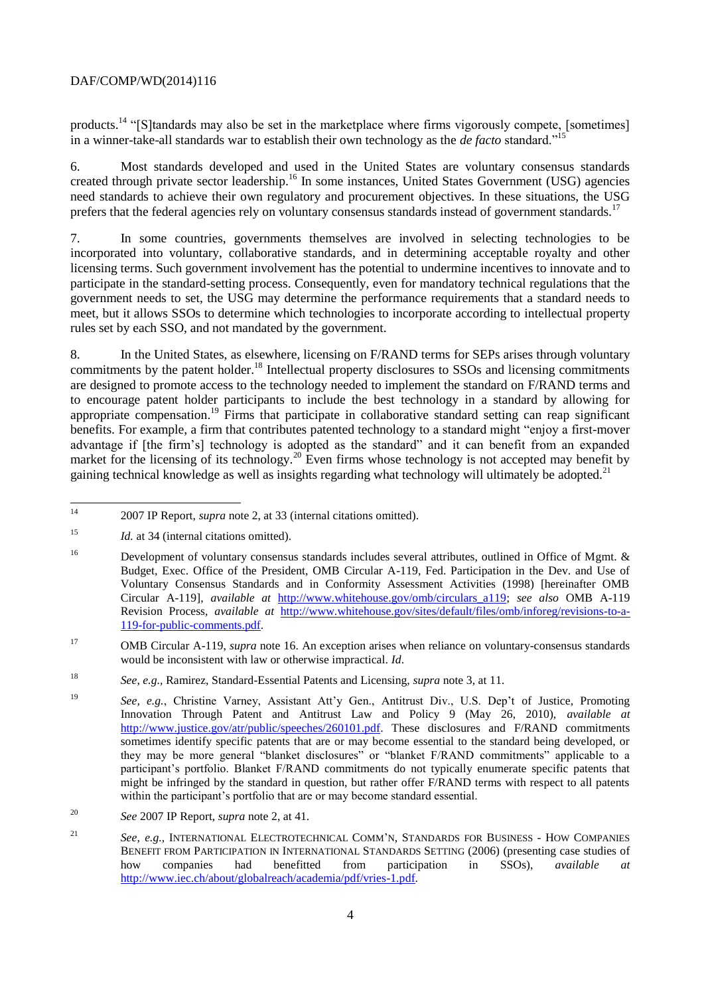products.<sup>14</sup> "[S]tandards may also be set in the marketplace where firms vigorously compete, [sometimes] in a winner-take-all standards war to establish their own technology as the *de facto* standard."<sup>1</sup>

6. Most standards developed and used in the United States are voluntary consensus standards created through private sector leadership.<sup>16</sup> In some instances, United States Government (USG) agencies need standards to achieve their own regulatory and procurement objectives. In these situations, the USG prefers that the federal agencies rely on voluntary consensus standards instead of government standards.<sup>17</sup>

In some countries, governments themselves are involved in selecting technologies to be incorporated into voluntary, collaborative standards, and in determining acceptable royalty and other licensing terms. Such government involvement has the potential to undermine incentives to innovate and to participate in the standard-setting process. Consequently, even for mandatory technical regulations that the government needs to set, the USG may determine the performance requirements that a standard needs to meet, but it allows SSOs to determine which technologies to incorporate according to intellectual property rules set by each SSO, and not mandated by the government.

8. In the United States, as elsewhere, licensing on F/RAND terms for SEPs arises through voluntary commitments by the patent holder.<sup>18</sup> Intellectual property disclosures to SSOs and licensing commitments are designed to promote access to the technology needed to implement the standard on F/RAND terms and to encourage patent holder participants to include the best technology in a standard by allowing for appropriate compensation.<sup>19</sup> Firms that participate in collaborative standard setting can reap significant benefits. For example, a firm that contributes patented technology to a standard might "enjoy a first-mover advantage if [the firm's] technology is adopted as the standard" and it can benefit from an expanded market for the licensing of its technology.<sup>20</sup> Even firms whose technology is not accepted may benefit by gaining technical knowledge as well as insights regarding what technology will ultimately be adopted.<sup>21</sup>

 $14$ <sup>14</sup> 2007 IP Report, *supra* note 2, at 33 (internal citations omitted).

<sup>&</sup>lt;sup>15</sup> *Id.* at 34 (internal citations omitted).

<sup>&</sup>lt;sup>16</sup> Development of voluntary consensus standards includes several attributes, outlined in Office of Mgmt. & Budget, Exec. Office of the President, OMB Circular A-119, Fed. Participation in the Dev. and Use of Voluntary Consensus Standards and in Conformity Assessment Activities (1998) [hereinafter OMB Circular A-119], *available at* http://www.whitehouse.gov/omb/circulars\_a119; *see also* OMB A-119 Revision Process, *available at* [http://www.whitehouse.gov/sites/default/files/omb/inforeg/revisions-to-a-](http://www.whitehouse.gov/sites/default/files/omb/inforeg/revisions-to-a-119-for-public-comments.pdf)[119-for-public-comments.pdf.](http://www.whitehouse.gov/sites/default/files/omb/inforeg/revisions-to-a-119-for-public-comments.pdf)

<sup>17</sup> OMB Circular A-119, *supra* note 16. An exception arises when reliance on voluntary-consensus standards would be inconsistent with law or otherwise impractical. *Id*.

<sup>18</sup> *See, e.g.,* Ramirez, Standard-Essential Patents and Licensing, *supra* note 3, at 11.

<sup>19</sup> *See, e.g.*, Christine Varney, Assistant Att'y Gen., Antitrust Div., U.S. Dep't of Justice, Promoting Innovation Through Patent and Antitrust Law and Policy 9 (May 26, 2010), *available at*  [http://www.justice.gov/atr/public/speeches/260101.pdf.](http://www.justice.gov/atr/public/speeches/260101.pdf) These disclosures and F/RAND commitments sometimes identify specific patents that are or may become essential to the standard being developed, or they may be more general "blanket disclosures" or "blanket F/RAND commitments" applicable to a participant's portfolio. Blanket F/RAND commitments do not typically enumerate specific patents that might be infringed by the standard in question, but rather offer F/RAND terms with respect to all patents within the participant's portfolio that are or may become standard essential.

<sup>20</sup> *See* 2007 IP Report, *supra* note 2, at 41.

<sup>21</sup> *See, e.g.*, INTERNATIONAL ELECTROTECHNICAL COMM'N, STANDARDS FOR BUSINESS - HOW COMPANIES BENEFIT FROM PARTICIPATION IN INTERNATIONAL STANDARDS SETTING (2006) (presenting case studies of how companies had benefitted from participation in SSOs). *available at* how companies had benefitted from participation in SSOs), *available at*  [http://www.iec.ch/about/globalreach/academia/pdf/vries-1.pdf.](http://www.iec.ch/about/globalreach/academia/pdf/vries-1.pdf)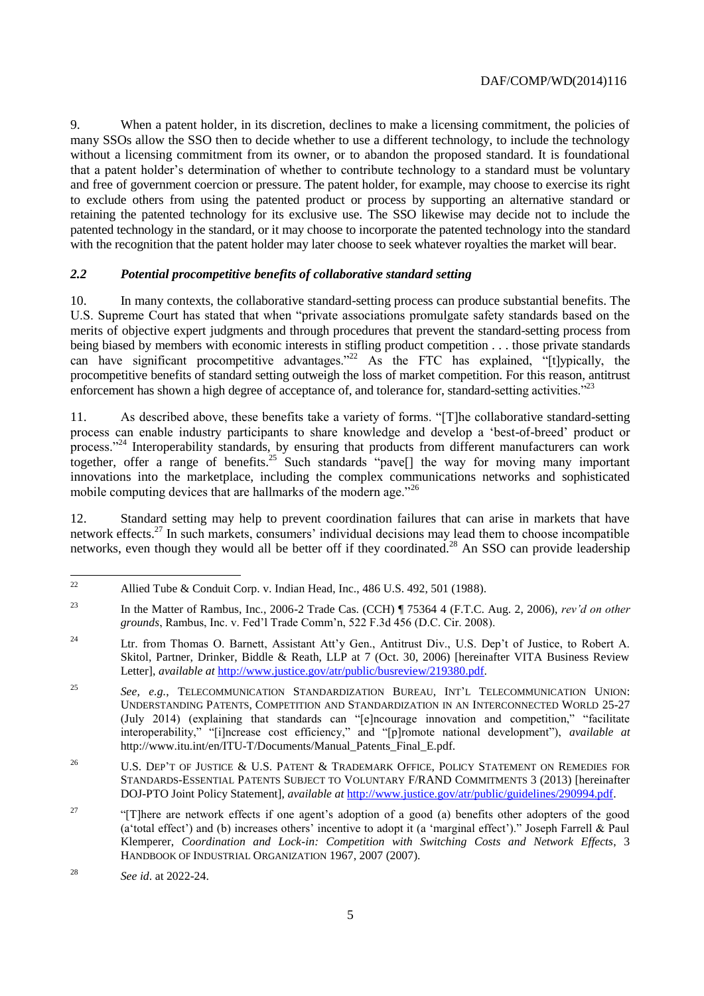9. When a patent holder, in its discretion, declines to make a licensing commitment, the policies of many SSOs allow the SSO then to decide whether to use a different technology, to include the technology without a licensing commitment from its owner, or to abandon the proposed standard. It is foundational that a patent holder's determination of whether to contribute technology to a standard must be voluntary and free of government coercion or pressure. The patent holder, for example, may choose to exercise its right to exclude others from using the patented product or process by supporting an alternative standard or retaining the patented technology for its exclusive use. The SSO likewise may decide not to include the patented technology in the standard, or it may choose to incorporate the patented technology into the standard with the recognition that the patent holder may later choose to seek whatever royalties the market will bear.

# *2.2 Potential procompetitive benefits of collaborative standard setting*

10. In many contexts, the collaborative standard-setting process can produce substantial benefits. The U.S. Supreme Court has stated that when "private associations promulgate safety standards based on the merits of objective expert judgments and through procedures that prevent the standard-setting process from being biased by members with economic interests in stifling product competition . . . those private standards can have significant procompetitive advantages.<sup>22</sup> As the FTC has explained, "[t]ypically, the procompetitive benefits of standard setting outweigh the loss of market competition. For this reason, antitrust enforcement has shown a high degree of acceptance of, and tolerance for, standard-setting activities."<sup>23</sup>

11. As described above, these benefits take a variety of forms. "[T]he collaborative standard-setting process can enable industry participants to share knowledge and develop a 'best-of-breed' product or process."<sup>24</sup> Interoperability standards, by ensuring that products from different manufacturers can work together, offer a range of benefits.<sup>25</sup> Such standards "pavel] the way for moving many important innovations into the marketplace, including the complex communications networks and sophisticated mobile computing devices that are hallmarks of the modern age."<sup>26</sup>

12. Standard setting may help to prevent coordination failures that can arise in markets that have network effects.<sup>27</sup> In such markets, consumers' individual decisions may lead them to choose incompatible networks, even though they would all be better off if they coordinated.<sup>28</sup> An SSO can provide leadership

 $22$ Allied Tube & Conduit Corp. v. Indian Head, Inc., 486 U.S. 492, 501 (1988).

<sup>23</sup> In the Matter of Rambus, Inc., 2006-2 Trade Cas. (CCH) ¶ 75364 4 (F.T.C. Aug. 2, 2006), *rev'd on other grounds*, Rambus, Inc. v. Fed'l Trade Comm'n, 522 F.3d 456 (D.C. Cir. 2008).

<sup>&</sup>lt;sup>24</sup> Ltr. from Thomas O. Barnett, Assistant Att'y Gen., Antitrust Div., U.S. Dep't of Justice, to Robert A. Skitol, Partner, Drinker, Biddle & Reath, LLP at 7 (Oct. 30, 2006) [hereinafter VITA Business Review Letter], *available at* [http://www.justice.gov/atr/public/busreview/219380.pdf.](http://www.justice.gov/atr/public/busreview/219380.pdf)

<sup>25</sup> *See, e.g.*, TELECOMMUNICATION STANDARDIZATION BUREAU, INT'L TELECOMMUNICATION UNION: UNDERSTANDING PATENTS, COMPETITION AND STANDARDIZATION IN AN INTERCONNECTED WORLD 25-27 (July 2014) (explaining that standards can "[e]ncourage innovation and competition," "facilitate interoperability," "[i]ncrease cost efficiency," and "[p]romote national development"), *available at* http://www.itu.int/en/ITU-T/Documents/Manual Patents Final E.pdf.

<sup>&</sup>lt;sup>26</sup> U.S. DEP'T OF JUSTICE & U.S. PATENT & TRADEMARK OFFICE, POLICY STATEMENT ON REMEDIES FOR STANDARDS-ESSENTIAL PATENTS SUBJECT TO VOLUNTARY F/RAND COMMITMENTS 3 (2013) [hereinafter DOJ-PTO Joint Policy Statement], *available at* [http://www.justice.gov/atr/public/guidelines/290994.pdf.](http://www.justice.gov/atr/public/guidelines/290994.pdf)

<sup>&</sup>lt;sup>27</sup> "[T]here are network effects if one agent's adoption of a good (a) benefits other adopters of the good (a'total effect') and (b) increases others' incentive to adopt it (a 'marginal effect')." Joseph Farrell & Paul Klemperer, *Coordination and Lock-in: Competition with Switching Costs and Network Effects*, 3 HANDBOOK OF INDUSTRIAL ORGANIZATION 1967, 2007 (2007).

<sup>28</sup> *See id*. at 2022-24.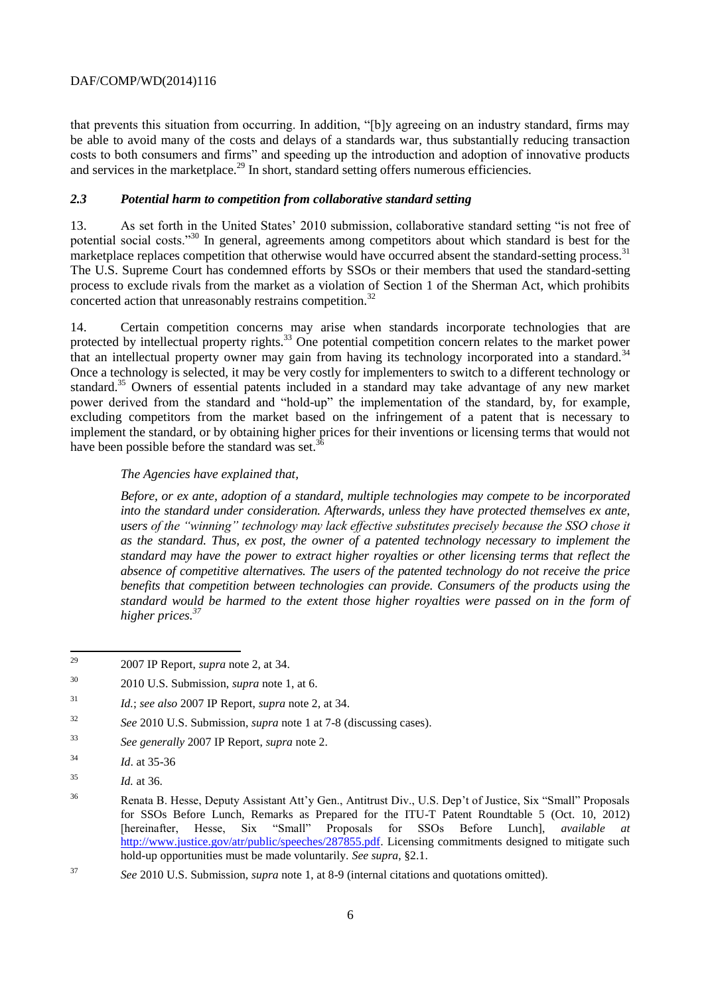that prevents this situation from occurring. In addition, "[b]y agreeing on an industry standard, firms may be able to avoid many of the costs and delays of a standards war, thus substantially reducing transaction costs to both consumers and firms" and speeding up the introduction and adoption of innovative products and services in the marketplace.<sup>29</sup> In short, standard setting offers numerous efficiencies.

## *2.3 Potential harm to competition from collaborative standard setting*

13. As set forth in the United States' 2010 submission, collaborative standard setting "is not free of potential social costs."<sup>30</sup> In general, agreements among competitors about which standard is best for the marketplace replaces competition that otherwise would have occurred absent the standard-setting process.<sup>31</sup> The U.S. Supreme Court has condemned efforts by SSOs or their members that used the standard-setting process to exclude rivals from the market as a violation of Section 1 of the Sherman Act, which prohibits concerted action that unreasonably restrains competition.<sup>32</sup>

14. Certain competition concerns may arise when standards incorporate technologies that are protected by intellectual property rights.<sup>33</sup> One potential competition concern relates to the market power that an intellectual property owner may gain from having its technology incorporated into a standard.<sup>34</sup> Once a technology is selected, it may be very costly for implementers to switch to a different technology or standard.<sup>35</sup> Owners of essential patents included in a standard may take advantage of any new market power derived from the standard and "hold-up" the implementation of the standard, by, for example, excluding competitors from the market based on the infringement of a patent that is necessary to implement the standard, or by obtaining higher prices for their inventions or licensing terms that would not have been possible before the standard was set. $3^{\circ}$ I.

## *The Agencies have explained that,*

*Before, or ex ante, adoption of a standard, multiple technologies may compete to be incorporated into the standard under consideration. Afterwards, unless they have protected themselves ex ante, users of the "winning" technology may lack effective substitutes precisely because the SSO chose it as the standard. Thus, ex post, the owner of a patented technology necessary to implement the standard may have the power to extract higher royalties or other licensing terms that reflect the absence of competitive alternatives. The users of the patented technology do not receive the price benefits that competition between technologies can provide. Consumers of the products using the standard would be harmed to the extent those higher royalties were passed on in the form of higher prices.<sup>37</sup>*

<sup>29</sup> <sup>29</sup> 2007 IP Report, *supra* note 2, at 34.

<sup>30</sup> 2010 U.S. Submission, *supra* note 1, at 6.

<sup>31</sup> *Id.*; *see also* 2007 IP Report, *supra* note 2, at 34.

<sup>32</sup> *See* 2010 U.S. Submission, *supra* note 1 at 7-8 (discussing cases).

<sup>33</sup> *See generally* 2007 IP Report, *supra* note 2.

<sup>34</sup> *Id*. at 35-36

<sup>35</sup> *Id.* at 36.

<sup>36</sup> Renata B. Hesse, Deputy Assistant Att'y Gen., Antitrust Div., U.S. Dep't of Justice, Six "Small" Proposals for SSOs Before Lunch, Remarks as Prepared for the ITU-T Patent Roundtable 5 (Oct. 10, 2012) [hereinafter, Hesse, Six "Small" Proposals for SSOs Before Lunch], *available at*  [http://www.justice.gov/atr/public/speeches/287855.pdf.](http://www.justice.gov/atr/public/speeches/287855.pdf) Licensing commitments designed to mitigate such hold-up opportunities must be made voluntarily. *See supra*, §2.1.

<sup>37</sup> *See* 2010 U.S. Submission, *supra* note 1, at 8-9 (internal citations and quotations omitted).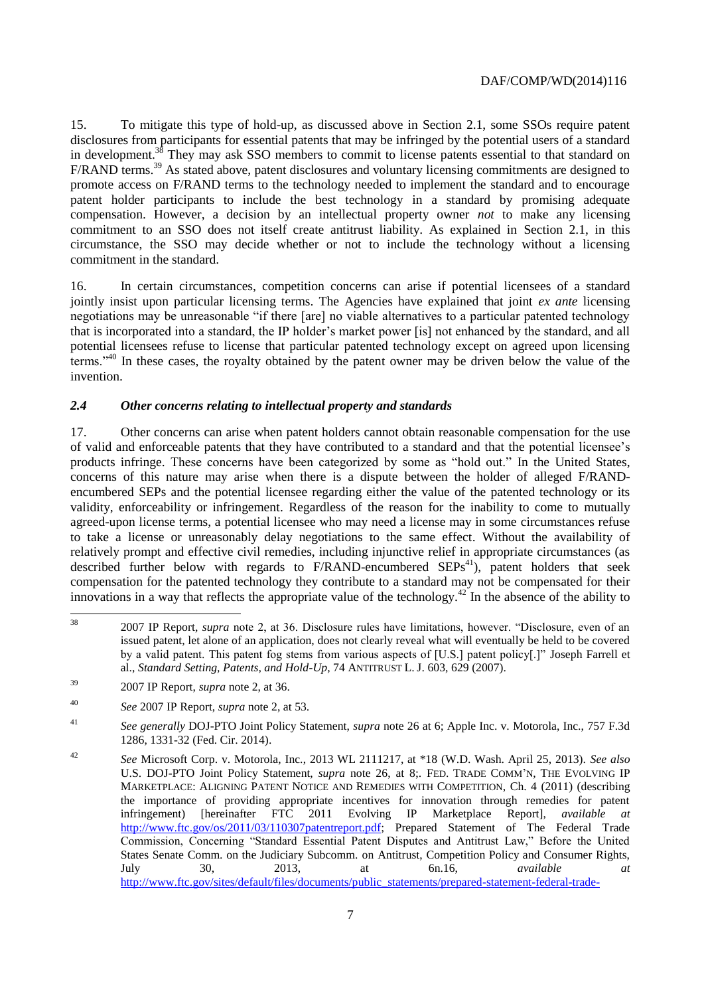15. To mitigate this type of hold-up, as discussed above in Section 2.1, some SSOs require patent disclosures from participants for essential patents that may be infringed by the potential users of a standard in development.<sup>38</sup> They may ask SSO members to commit to license patents essential to that standard on F/RAND terms.<sup>39</sup> As stated above, patent disclosures and voluntary licensing commitments are designed to promote access on F/RAND terms to the technology needed to implement the standard and to encourage patent holder participants to include the best technology in a standard by promising adequate compensation. However, a decision by an intellectual property owner *not* to make any licensing commitment to an SSO does not itself create antitrust liability. As explained in Section 2.1, in this circumstance, the SSO may decide whether or not to include the technology without a licensing commitment in the standard.

16. In certain circumstances, competition concerns can arise if potential licensees of a standard jointly insist upon particular licensing terms. The Agencies have explained that joint *ex ante* licensing negotiations may be unreasonable "if there [are] no viable alternatives to a particular patented technology that is incorporated into a standard, the IP holder's market power [is] not enhanced by the standard, and all potential licensees refuse to license that particular patented technology except on agreed upon licensing terms."<sup>40</sup> In these cases, the royalty obtained by the patent owner may be driven below the value of the invention.

## *2.4 Other concerns relating to intellectual property and standards*

17. Other concerns can arise when patent holders cannot obtain reasonable compensation for the use of valid and enforceable patents that they have contributed to a standard and that the potential licensee's products infringe. These concerns have been categorized by some as "hold out." In the United States, concerns of this nature may arise when there is a dispute between the holder of alleged F/RANDencumbered SEPs and the potential licensee regarding either the value of the patented technology or its validity, enforceability or infringement. Regardless of the reason for the inability to come to mutually agreed-upon license terms, a potential licensee who may need a license may in some circumstances refuse to take a license or unreasonably delay negotiations to the same effect. Without the availability of relatively prompt and effective civil remedies, including injunctive relief in appropriate circumstances (as described further below with regards to  $F/RAND$ -encumbered  $SEPs<sup>41</sup>$ , patent holders that seek compensation for the patented technology they contribute to a standard may not be compensated for their innovations in a way that reflects the appropriate value of the technology.<sup>42</sup> In the absence of the ability to

 $38$ <sup>38</sup> 2007 IP Report, *supra* note 2, at 36. Disclosure rules have limitations, however. "Disclosure, even of an issued patent, let alone of an application, does not clearly reveal what will eventually be held to be covered by a valid patent. This patent fog stems from various aspects of [U.S.] patent policy[.]" Joseph Farrell et al., *Standard Setting, Patents, and Hold-Up*, 74 ANTITRUST L. J. 603, 629 (2007).

<sup>39</sup> 2007 IP Report, *supra* note 2, at 36.

<sup>40</sup> *See* 2007 IP Report, *supra* note 2, at 53.

<sup>41</sup> *See generally* DOJ-PTO Joint Policy Statement, *supra* note 26 at 6; Apple Inc. v. Motorola, Inc., 757 F.3d 1286, 1331-32 (Fed. Cir. 2014).

<sup>42</sup> *See* Microsoft Corp. v. Motorola, Inc., 2013 WL 2111217, at \*18 (W.D. Wash. April 25, 2013). *See also* U.S. DOJ-PTO Joint Policy Statement, *supra* note 26, at 8;. FED. TRADE COMM'N, THE EVOLVING IP MARKETPLACE: ALIGNING PATENT NOTICE AND REMEDIES WITH COMPETITION, Ch. 4 (2011) (describing the importance of providing appropriate incentives for innovation through remedies for patent infringement) [hereinafter FTC 2011 Evolving IP Marketplace Report], *available at*  [http://www.ftc.gov/os/2011/03/110307patentreport.pdf;](http://www.ftc.gov/os/2011/03/110307patentreport.pdf) Prepared Statement of The Federal Trade Commission, Concerning "Standard Essential Patent Disputes and Antitrust Law," Before the United States Senate Comm. on the Judiciary Subcomm. on Antitrust, Competition Policy and Consumer Rights, July 30, 2013, at 6n.16, *available at* [http://www.ftc.gov/sites/default/files/documents/public\\_statements/prepared-statement-federal-trade-](http://www.ftc.gov/sites/default/files/documents/public_statements/prepared-statement-federal-trade-commission-concerning-standard-essential-patent-disputes-and/130730standardessentialpatents.pdf)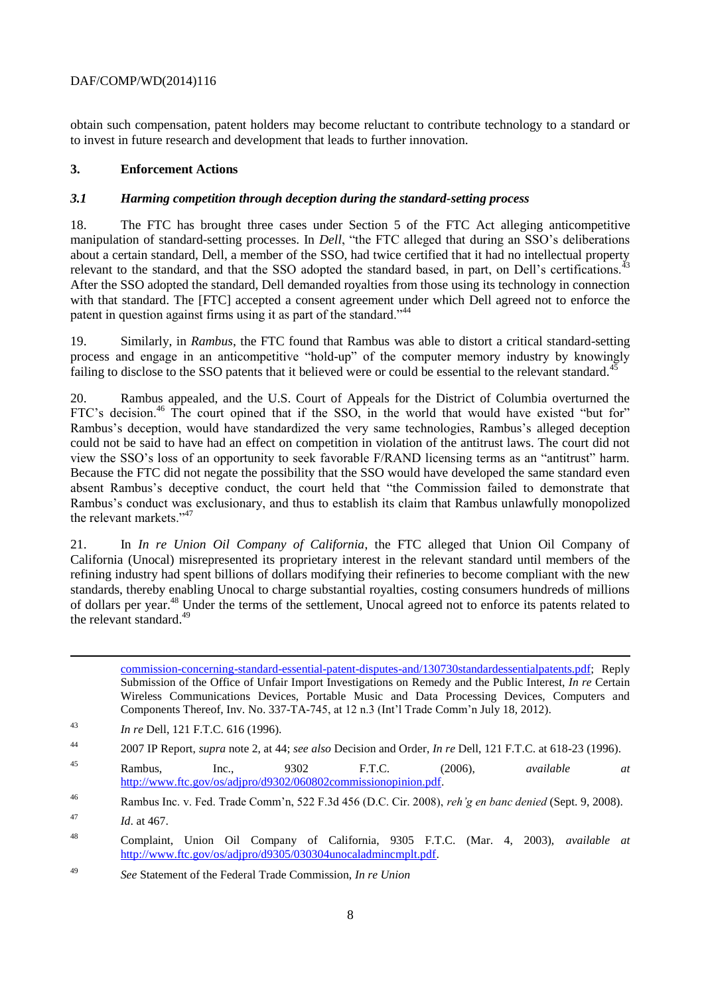obtain such compensation, patent holders may become reluctant to contribute technology to a standard or to invest in future research and development that leads to further innovation.

## **3. Enforcement Actions**

## *3.1 Harming competition through deception during the standard-setting process*

18. The FTC has brought three cases under Section 5 of the FTC Act alleging anticompetitive manipulation of standard-setting processes. In *Dell*, "the FTC alleged that during an SSO's deliberations about a certain standard, Dell, a member of the SSO, had twice certified that it had no intellectual property relevant to the standard, and that the SSO adopted the standard based, in part, on Dell's certifications.<sup>43</sup> After the SSO adopted the standard, Dell demanded royalties from those using its technology in connection with that standard. The [FTC] accepted a consent agreement under which Dell agreed not to enforce the patent in question against firms using it as part of the standard."<sup>44</sup>

19. Similarly, in *Rambus*, the FTC found that Rambus was able to distort a critical standard-setting process and engage in an anticompetitive "hold-up" of the computer memory industry by knowingly failing to disclose to the SSO patents that it believed were or could be essential to the relevant standard.<sup>4</sup>

20. Rambus appealed, and the U.S. Court of Appeals for the District of Columbia overturned the FTC's decision.<sup>46</sup> The court opined that if the SSO, in the world that would have existed "but for" Rambus's deception, would have standardized the very same technologies, Rambus's alleged deception could not be said to have had an effect on competition in violation of the antitrust laws. The court did not view the SSO's loss of an opportunity to seek favorable F/RAND licensing terms as an "antitrust" harm. Because the FTC did not negate the possibility that the SSO would have developed the same standard even absent Rambus's deceptive conduct, the court held that "the Commission failed to demonstrate that Rambus's conduct was exclusionary, and thus to establish its claim that Rambus unlawfully monopolized the relevant markets."<sup>47</sup>

21. In *In re Union Oil Company of California*, the FTC alleged that Union Oil Company of California (Unocal) misrepresented its proprietary interest in the relevant standard until members of the refining industry had spent billions of dollars modifying their refineries to become compliant with the new standards, thereby enabling Unocal to charge substantial royalties, costing consumers hundreds of millions of dollars per year.<sup>48</sup> Under the terms of the settlement, Unocal agreed not to enforce its patents related to the relevant standard. $49$ 

[commission-concerning-standard-essential-patent-disputes-and/130730standardessentialpatents.pdf;](http://www.ftc.gov/sites/default/files/documents/public_statements/prepared-statement-federal-trade-commission-concerning-standard-essential-patent-disputes-and/130730standardessentialpatents.pdf) Reply Submission of the Office of Unfair Import Investigations on Remedy and the Public Interest, *In re* Certain Wireless Communications Devices, Portable Music and Data Processing Devices, Computers and Components Thereof, Inv. No. 337-TA-745, at 12 n.3 (Int'l Trade Comm'n July 18, 2012).

<sup>43</sup> *In re* Dell, 121 F.T.C. 616 (1996).

<sup>45</sup> Rambus, Inc., 9302 F.T.C. (2006), *available at* [http://www.ftc.gov/os/adjpro/d9302/060802commissionopinion.pdf.](http://www.ftc.gov/os/adjpro/d9302/060802commissionopinion.pdf) 

 $\overline{a}$ 

<sup>44</sup> 2007 IP Report, *supra* note 2, at 44; *see also* Decision and Order, *In re* Dell, 121 F.T.C. at 618-23 (1996).

<sup>46</sup> Rambus Inc. v. Fed. Trade Comm'n, 522 F.3d 456 (D.C. Cir. 2008), *reh'g en banc denied* (Sept. 9, 2008).

<sup>47</sup> *Id*. at 467.

<sup>48</sup> Complaint, Union Oil Company of California, 9305 F.T.C. (Mar. 4, 2003), *available at* [http://www.ftc.gov/os/adjpro/d9305/030304unocaladmincmplt.pdf.](http://www.ftc.gov/os/adjpro/d9305/030304unocaladmincmplt.pdf)

<sup>49</sup> *See* Statement of the Federal Trade Commission, *In re Union*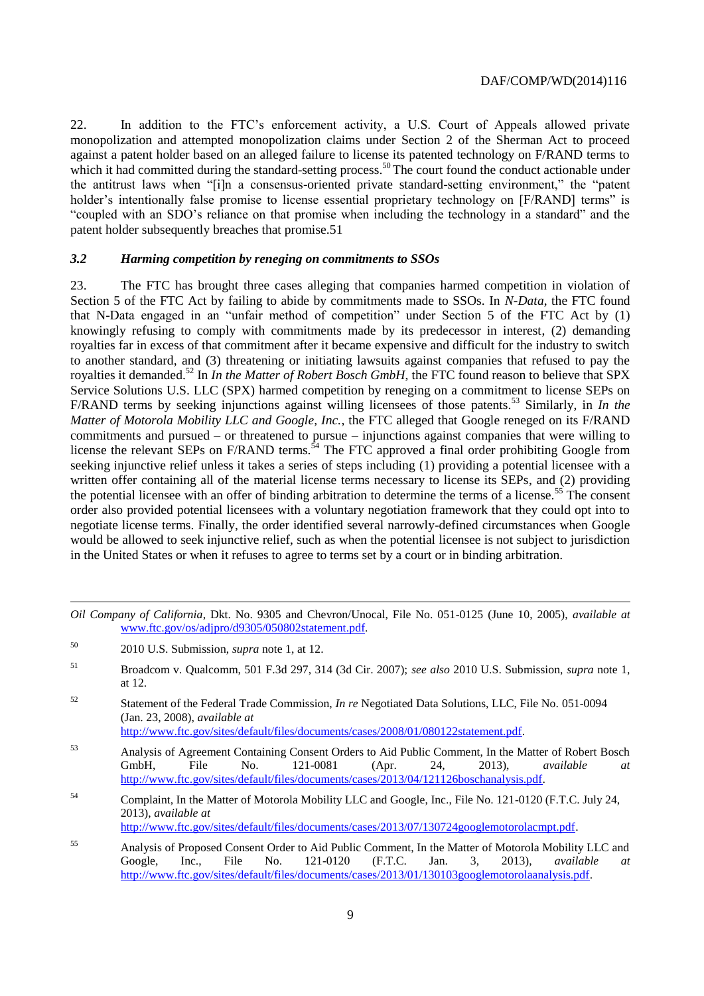22. In addition to the FTC's enforcement activity, a U.S. Court of Appeals allowed private monopolization and attempted monopolization claims under Section 2 of the Sherman Act to proceed against a patent holder based on an alleged failure to license its patented technology on F/RAND terms to which it had committed during the standard-setting process.<sup>50</sup> The court found the conduct actionable under the antitrust laws when "[i]n a consensus-oriented private standard-setting environment," the "patent holder's intentionally false promise to license essential proprietary technology on [F/RAND] terms" is "coupled with an SDO's reliance on that promise when including the technology in a standard" and the patent holder subsequently breaches that promise.51

#### *3.2 Harming competition by reneging on commitments to SSOs*

23. The FTC has brought three cases alleging that companies harmed competition in violation of Section 5 of the FTC Act by failing to abide by commitments made to SSOs. In *N-Data*, the FTC found that N-Data engaged in an "unfair method of competition" under Section 5 of the FTC Act by (1) knowingly refusing to comply with commitments made by its predecessor in interest, (2) demanding royalties far in excess of that commitment after it became expensive and difficult for the industry to switch to another standard, and (3) threatening or initiating lawsuits against companies that refused to pay the royalties it demanded.<sup>52</sup> In *In the Matter of Robert Bosch GmbH*, the FTC found reason to believe that SPX Service Solutions U.S. LLC (SPX) harmed competition by reneging on a commitment to license SEPs on F/RAND terms by seeking injunctions against willing licensees of those patents.<sup>53</sup> Similarly, in *In the Matter of Motorola Mobility LLC and Google, Inc.*, the FTC alleged that Google reneged on its F/RAND commitments and pursued – or threatened to pursue – injunctions against companies that were willing to license the relevant SEPs on F/RAND terms.<sup>54</sup> The FTC approved a final order prohibiting Google from seeking injunctive relief unless it takes a series of steps including (1) providing a potential licensee with a written offer containing all of the material license terms necessary to license its SEPs, and (2) providing the potential licensee with an offer of binding arbitration to determine the terms of a license.<sup>55</sup> The consent order also provided potential licensees with a voluntary negotiation framework that they could opt into to negotiate license terms. Finally, the order identified several narrowly-defined circumstances when Google would be allowed to seek injunctive relief, such as when the potential licensee is not subject to jurisdiction in the United States or when it refuses to agree to terms set by a court or in binding arbitration.

 $\overline{a}$ 

[http://www.ftc.gov/sites/default/files/documents/cases/2008/01/080122statement.pdf.](http://www.ftc.gov/sites/default/files/documents/cases/2008/01/080122statement.pdf)

*Oil Company of California*, Dkt. No. 9305 and Chevron/Unocal, File No. 051-0125 (June 10, 2005), *available at*  [www.ftc.gov/os/adjpro/d9305/050802statement.pdf.](http://www.ftc.gov/os/adjpro/d9305/050802statement.pdf)

<sup>50</sup> 2010 U.S. Submission, *supra* note 1, at 12.

<sup>51</sup> Broadcom v. Qualcomm, 501 F.3d 297, 314 (3d Cir. 2007); *see also* 2010 U.S. Submission, *supra* note 1, at 12.

<sup>52</sup> Statement of the Federal Trade Commission, *In re* Negotiated Data Solutions, LLC, File No. 051-0094 (Jan. 23, 2008), *available at*

<sup>53</sup> Analysis of Agreement Containing Consent Orders to Aid Public Comment, In the Matter of Robert Bosch GmbH, File No. 121-0081 (Apr. 24, 2013), *available at*  [http://www.ftc.gov/sites/default/files/documents/cases/2013/04/121126boschanalysis.pdf.](http://www.ftc.gov/sites/default/files/documents/cases/2013/04/121126boschanalysis.pdf)

<sup>54</sup> Complaint, In the Matter of Motorola Mobility LLC and Google, Inc., File No. 121-0120 (F.T.C. July 24, 2013), *available at*

[http://www.ftc.gov/sites/default/files/documents/cases/2013/07/130724googlemotorolacmpt.pdf.](http://www.ftc.gov/sites/default/files/documents/cases/2013/07/130724googlemotorolacmpt.pdf)

<sup>55</sup> Analysis of Proposed Consent Order to Aid Public Comment, In the Matter of Motorola Mobility LLC and Google, Inc., File No. 121-0120 (F.T.C. Jan. 3, 2013), *available at* [http://www.ftc.gov/sites/default/files/documents/cases/2013/01/130103googlemotorolaanalysis.pdf.](http://www.ftc.gov/sites/default/files/documents/cases/2013/01/130103googlemotorolaanalysis.pdf)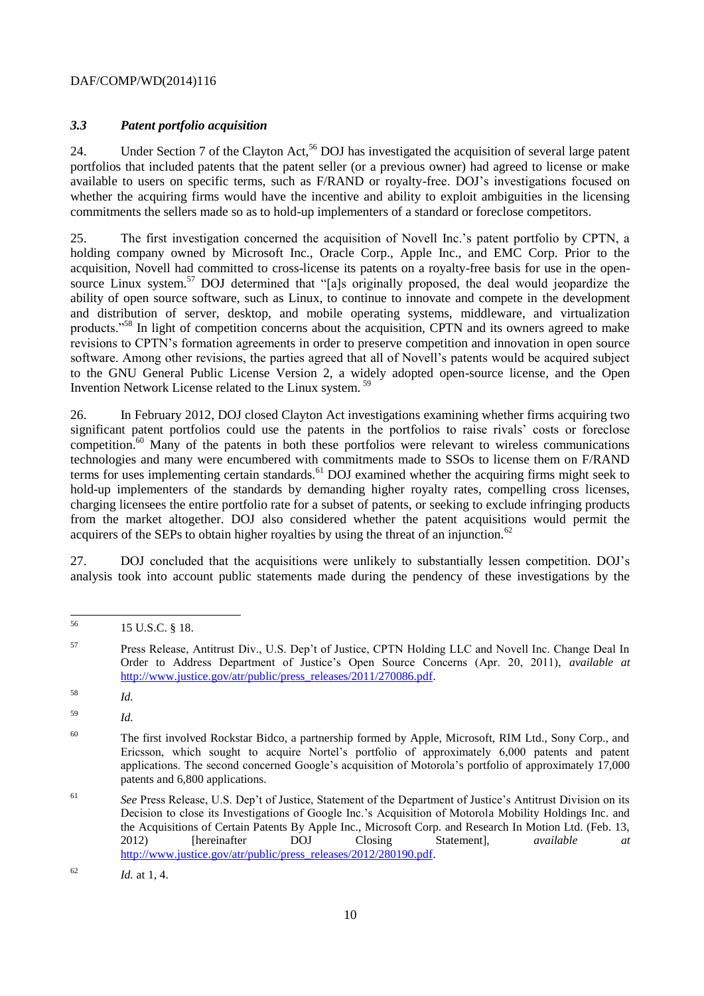## *3.3 Patent portfolio acquisition*

24. Under Section 7 of the Clayton Act,<sup>56</sup> DOJ has investigated the acquisition of several large patent portfolios that included patents that the patent seller (or a previous owner) had agreed to license or make available to users on specific terms, such as F/RAND or royalty-free. DOJ's investigations focused on whether the acquiring firms would have the incentive and ability to exploit ambiguities in the licensing commitments the sellers made so as to hold-up implementers of a standard or foreclose competitors.

25. The first investigation concerned the acquisition of Novell Inc.'s patent portfolio by CPTN, a holding company owned by Microsoft Inc., Oracle Corp., Apple Inc., and EMC Corp. Prior to the acquisition, Novell had committed to cross-license its patents on a royalty-free basis for use in the opensource Linux system.<sup>57</sup> DOJ determined that "[a]s originally proposed, the deal would jeopardize the ability of open source software, such as Linux, to continue to innovate and compete in the development and distribution of server, desktop, and mobile operating systems, middleware, and virtualization products."<sup>58</sup> In light of competition concerns about the acquisition, CPTN and its owners agreed to make revisions to CPTN's formation agreements in order to preserve competition and innovation in open source software. Among other revisions, the parties agreed that all of Novell's patents would be acquired subject to the GNU General Public License Version 2, a widely adopted open-source license, and the Open Invention Network License related to the Linux system. <sup>59</sup>

26. In February 2012, DOJ closed Clayton Act investigations examining whether firms acquiring two significant patent portfolios could use the patents in the portfolios to raise rivals' costs or foreclose competition.<sup>60</sup> Many of the patents in both these portfolios were relevant to wireless communications technologies and many were encumbered with commitments made to SSOs to license them on F/RAND terms for uses implementing certain standards.<sup>61</sup> DOJ examined whether the acquiring firms might seek to hold-up implementers of the standards by demanding higher royalty rates, compelling cross licenses, charging licensees the entire portfolio rate for a subset of patents, or seeking to exclude infringing products from the market altogether. DOJ also considered whether the patent acquisitions would permit the acquirers of the SEPs to obtain higher royalties by using the threat of an injunction.<sup>62</sup>

27. DOJ concluded that the acquisitions were unlikely to substantially lessen competition. DOJ's analysis took into account public statements made during the pendency of these investigations by the

<sup>56</sup> 15 U.S.C. § 18.

<sup>57</sup> Press Release, Antitrust Div., U.S. Dep't of Justice, CPTN Holding LLC and Novell Inc. Change Deal In Order to Address Department of Justice's Open Source Concerns (Apr. 20, 2011), *available at*  [http://www.justice.gov/atr/public/press\\_releases/2011/270086.pdf.](http://www.justice.gov/atr/public/press_releases/2011/270086.pdf)

<sup>58</sup> *Id.*

<sup>59</sup> *Id.*

<sup>&</sup>lt;sup>60</sup> The first involved Rockstar Bidco, a partnership formed by Apple, Microsoft, RIM Ltd., Sony Corp., and Ericsson, which sought to acquire Nortel's portfolio of approximately 6,000 patents and patent applications. The second concerned Google's acquisition of Motorola's portfolio of approximately 17,000 patents and 6,800 applications.

<sup>61</sup> *See* Press Release, U.S. Dep't of Justice, Statement of the Department of Justice's Antitrust Division on its Decision to close its Investigations of Google Inc.'s Acquisition of Motorola Mobility Holdings Inc. and the Acquisitions of Certain Patents By Apple Inc., Microsoft Corp. and Research In Motion Ltd. (Feb. 13, 2012) [hereinafter DOJ Closing Statement], *available at*  [http://www.justice.gov/atr/public/press\\_releases/2012/280190.pdf.](http://www.justice.gov/atr/public/press_releases/2012/280190.pdf)

 $Id.$  at 1, 4.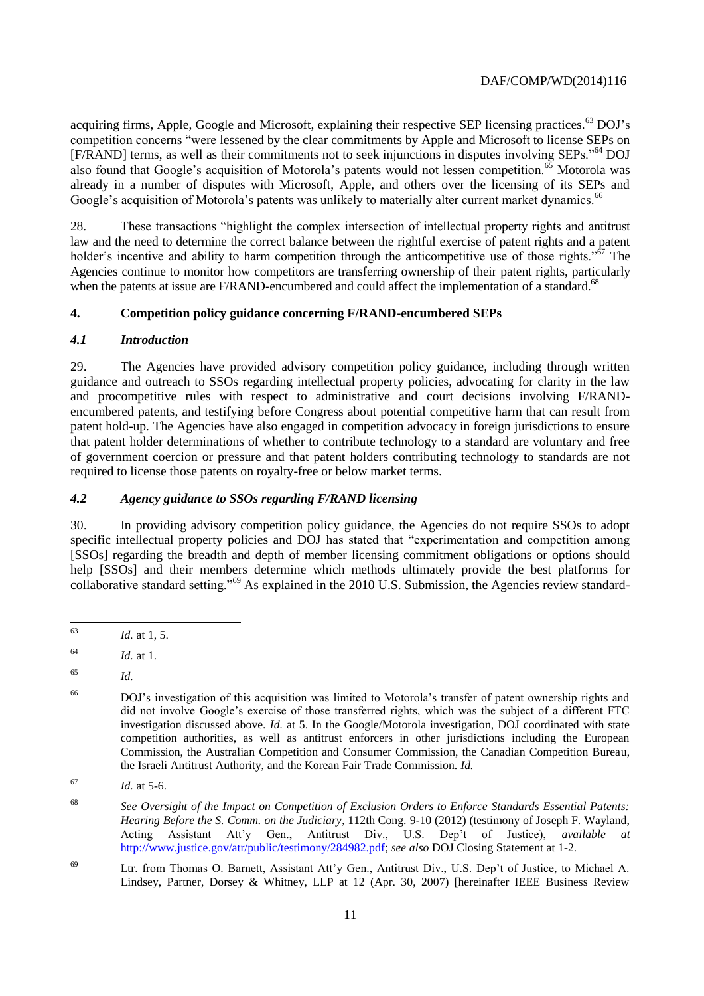acquiring firms, Apple, Google and Microsoft, explaining their respective SEP licensing practices.<sup>63</sup> DOJ's competition concerns "were lessened by the clear commitments by Apple and Microsoft to license SEPs on [F/RAND] terms, as well as their commitments not to seek injunctions in disputes involving SEPs."<sup>64</sup> DOJ also found that Google's acquisition of Motorola's patents would not lessen competition.<sup>65</sup> Motorola was already in a number of disputes with Microsoft, Apple, and others over the licensing of its SEPs and Google's acquisition of Motorola's patents was unlikely to materially alter current market dynamics.<sup>66</sup>

28. These transactions "highlight the complex intersection of intellectual property rights and antitrust law and the need to determine the correct balance between the rightful exercise of patent rights and a patent holder's incentive and ability to harm competition through the anticompetitive use of those rights." $\delta$ <sup>7</sup> The Agencies continue to monitor how competitors are transferring ownership of their patent rights, particularly when the patents at issue are F/RAND-encumbered and could affect the implementation of a standard.<sup>68</sup>

# **4. Competition policy guidance concerning F/RAND-encumbered SEPs**

# *4.1 Introduction*

29. The Agencies have provided advisory competition policy guidance, including through written guidance and outreach to SSOs regarding intellectual property policies, advocating for clarity in the law and procompetitive rules with respect to administrative and court decisions involving F/RANDencumbered patents, and testifying before Congress about potential competitive harm that can result from patent hold-up. The Agencies have also engaged in competition advocacy in foreign jurisdictions to ensure that patent holder determinations of whether to contribute technology to a standard are voluntary and free of government coercion or pressure and that patent holders contributing technology to standards are not required to license those patents on royalty-free or below market terms.

# *4.2 Agency guidance to SSOs regarding F/RAND licensing*

30. In providing advisory competition policy guidance, the Agencies do not require SSOs to adopt specific intellectual property policies and DOJ has stated that "experimentation and competition among [SSOs] regarding the breadth and depth of member licensing commitment obligations or options should help [SSOs] and their members determine which methods ultimately provide the best platforms for collaborative standard setting."<sup>69</sup> As explained in the 2010 U.S. Submission, the Agencies review standard-

<sup>63</sup> *Id.* at 1, 5.

<sup>64</sup> *Id.* at 1.

<sup>65</sup> *Id.*

<sup>66</sup> DOJ's investigation of this acquisition was limited to Motorola's transfer of patent ownership rights and did not involve Google's exercise of those transferred rights, which was the subject of a different FTC investigation discussed above. *Id.* at 5. In the Google/Motorola investigation, DOJ coordinated with state competition authorities, as well as antitrust enforcers in other jurisdictions including the European Commission, the Australian Competition and Consumer Commission, the Canadian Competition Bureau, the Israeli Antitrust Authority, and the Korean Fair Trade Commission. *Id.*

<sup>67</sup> *Id.* at 5-6.

<sup>68</sup> *See Oversight of the Impact on Competition of Exclusion Orders to Enforce Standards Essential Patents: Hearing Before the S. Comm. on the Judiciary*, 112th Cong. 9-10 (2012) (testimony of Joseph F. Wayland, Acting Assistant Att'y Gen., Antitrust Div., U.S. Dep't of Justice), *available at*  [http://www.justice.gov/atr/public/testimony/284982.pdf;](http://www.justice.gov/atr/public/testimony/284982.pdf) *see also* DOJ Closing Statement at 1-2.

<sup>69</sup> Ltr. from Thomas O. Barnett, Assistant Att'y Gen., Antitrust Div., U.S. Dep't of Justice, to Michael A. Lindsey, Partner, Dorsey & Whitney, LLP at 12 (Apr. 30, 2007) [hereinafter IEEE Business Review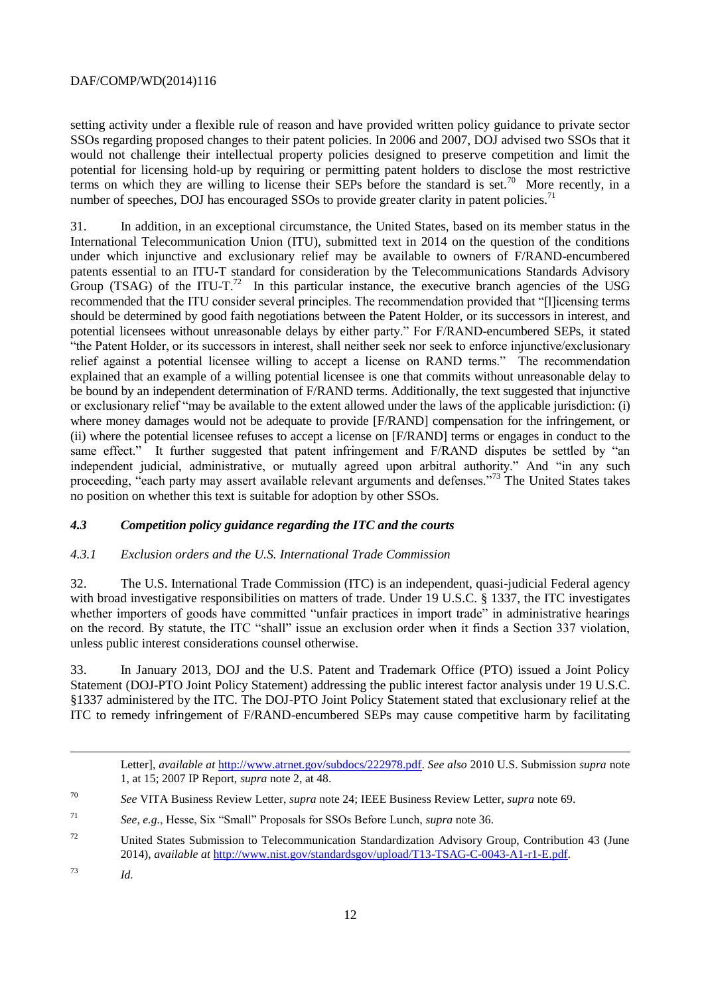setting activity under a flexible rule of reason and have provided written policy guidance to private sector SSOs regarding proposed changes to their patent policies. In 2006 and 2007, DOJ advised two SSOs that it would not challenge their intellectual property policies designed to preserve competition and limit the potential for licensing hold-up by requiring or permitting patent holders to disclose the most restrictive terms on which they are willing to license their SEPs before the standard is set.<sup>70</sup> More recently, in a number of speeches, DOJ has encouraged SSOs to provide greater clarity in patent policies.<sup>71</sup>

31. In addition, in an exceptional circumstance, the United States, based on its member status in the International Telecommunication Union (ITU), submitted text in 2014 on the question of the conditions under which injunctive and exclusionary relief may be available to owners of F/RAND-encumbered patents essential to an ITU-T standard for consideration by the Telecommunications Standards Advisory Group (TSAG) of the ITU-T.<sup>72</sup> In this particular instance, the executive branch agencies of the USG recommended that the ITU consider several principles. The recommendation provided that "[l]icensing terms should be determined by good faith negotiations between the Patent Holder, or its successors in interest, and potential licensees without unreasonable delays by either party." For F/RAND-encumbered SEPs, it stated "the Patent Holder, or its successors in interest, shall neither seek nor seek to enforce injunctive/exclusionary relief against a potential licensee willing to accept a license on RAND terms." The recommendation explained that an example of a willing potential licensee is one that commits without unreasonable delay to be bound by an independent determination of F/RAND terms. Additionally, the text suggested that injunctive or exclusionary relief "may be available to the extent allowed under the laws of the applicable jurisdiction: (i) where money damages would not be adequate to provide [F/RAND] compensation for the infringement, or (ii) where the potential licensee refuses to accept a license on [F/RAND] terms or engages in conduct to the same effect." It further suggested that patent infringement and F/RAND disputes be settled by "an independent judicial, administrative, or mutually agreed upon arbitral authority." And "in any such proceeding, "each party may assert available relevant arguments and defenses."<sup>73</sup> The United States takes no position on whether this text is suitable for adoption by other SSOs.

## *4.3 Competition policy guidance regarding the ITC and the courts*

## *4.3.1 Exclusion orders and the U.S. International Trade Commission*

32. The U.S. International Trade Commission (ITC) is an independent, quasi-judicial Federal agency with broad investigative responsibilities on matters of trade. Under 19 U.S.C. § 1337, the ITC investigates whether importers of goods have committed "unfair practices in import trade" in administrative hearings on the record. By statute, the ITC "shall" issue an exclusion order when it finds a Section 337 violation, unless public interest considerations counsel otherwise.

33. In January 2013, DOJ and the U.S. Patent and Trademark Office (PTO) issued a Joint Policy Statement (DOJ-PTO Joint Policy Statement) addressing the public interest factor analysis under 19 U.S.C. §1337 administered by the ITC. The DOJ-PTO Joint Policy Statement stated that exclusionary relief at the ITC to remedy infringement of F/RAND-encumbered SEPs may cause competitive harm by facilitating

Letter], *available at* [http://www.atrnet.gov/subdocs/222978.pdf.](http://www.atrnet.gov/subdocs/222978.pdf) *See also* 2010 U.S. Submission *supra* note 1, at 15; 2007 IP Report, *supra* note 2, at 48.

 $\overline{a}$ 

<sup>70</sup> *See* VITA Business Review Letter, *supra* note 24; IEEE Business Review Letter, *supra* note 69.

<sup>71</sup> *See, e.g.*, Hesse, Six "Small" Proposals for SSOs Before Lunch, *supra* note 36.

<sup>72</sup> United States Submission to Telecommunication Standardization Advisory Group, Contribution 43 (June 2014), *available at* [http://www.nist.gov/standardsgov/upload/T13-TSAG-C-0043-A1-r1-E.pdf.](http://www.nist.gov/standardsgov/upload/T13-TSAG-C-0043-A1-r1-E.pdf)

<sup>73</sup> *Id.*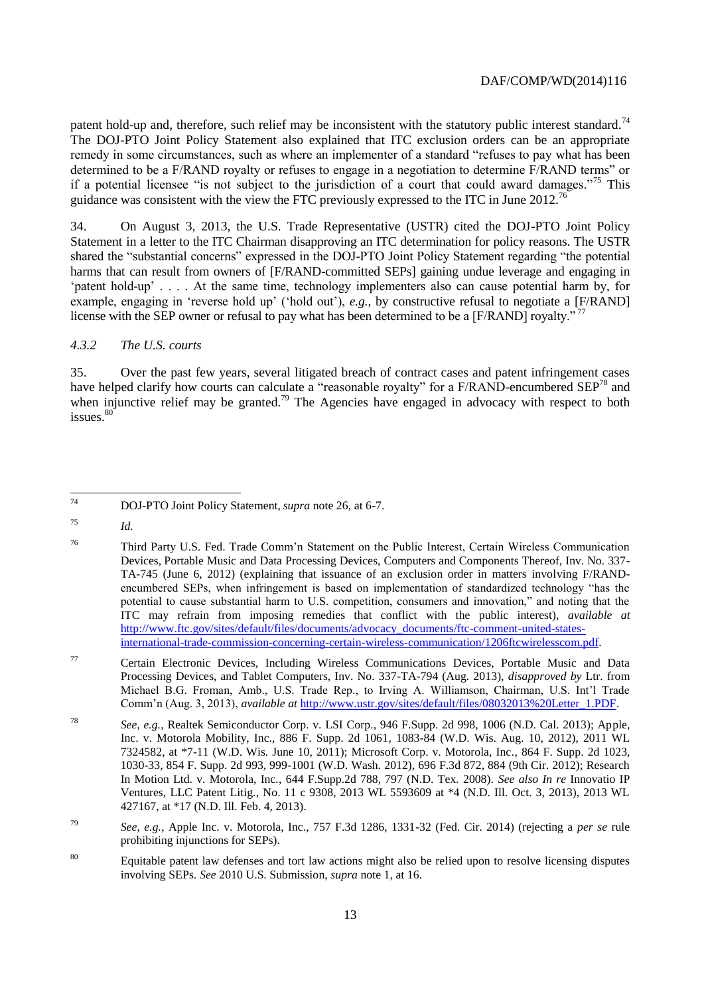patent hold-up and, therefore, such relief may be inconsistent with the statutory public interest standard.<sup>74</sup> The DOJ-PTO Joint Policy Statement also explained that ITC exclusion orders can be an appropriate remedy in some circumstances, such as where an implementer of a standard "refuses to pay what has been determined to be a F/RAND royalty or refuses to engage in a negotiation to determine F/RAND terms" or if a potential licensee "is not subject to the jurisdiction of a court that could award damages."<sup>75</sup> This guidance was consistent with the view the FTC previously expressed to the ITC in June 2012.<sup>76</sup>

34. On August 3, 2013, the U.S. Trade Representative (USTR) cited the DOJ-PTO Joint Policy Statement in a letter to the ITC Chairman disapproving an ITC determination for policy reasons. The USTR shared the "substantial concerns" expressed in the DOJ-PTO Joint Policy Statement regarding "the potential harms that can result from owners of [F/RAND-committed SEPs] gaining undue leverage and engaging in 'patent hold-up' . . . . At the same time, technology implementers also can cause potential harm by, for example, engaging in 'reverse hold up' ('hold out'), *e.g.*, by constructive refusal to negotiate a [F/RAND] license with the SEP owner or refusal to pay what has been determined to be a [F/RAND] royalty."<sup>77</sup>

## *4.3.2 The U.S. courts*

35. Over the past few years, several litigated breach of contract cases and patent infringement cases have helped clarify how courts can calculate a "reasonable royalty" for a F/RAND-encumbered SEP<sup>78</sup> and when injunctive relief may be granted.<sup>79</sup> The Agencies have engaged in advocacy with respect to both  $issues.<sup>80</sup>$ 

 $74$ <sup>74</sup> DOJ-PTO Joint Policy Statement, *supra* note 26, at 6-7.

<sup>75</sup> *Id.*

<sup>76</sup> Third Party U.S. Fed. Trade Comm'n Statement on the Public Interest, Certain Wireless Communication Devices, Portable Music and Data Processing Devices, Computers and Components Thereof, Inv. No. 337- TA-745 (June 6, 2012) (explaining that issuance of an exclusion order in matters involving F/RANDencumbered SEPs, when infringement is based on implementation of standardized technology "has the potential to cause substantial harm to U.S. competition, consumers and innovation," and noting that the ITC may refrain from imposing remedies that conflict with the public interest), *available at* [http://www.ftc.gov/sites/default/files/documents/advocacy\\_documents/ftc-comment-united-states](http://www.ftc.gov/sites/default/files/documents/advocacy_documents/ftc-comment-united-states-international-trade-commission-concerning-certain-wireless-communication/1206ftcwirelesscom.pdf)[international-trade-commission-concerning-certain-wireless-communication/1206ftcwirelesscom.pdf.](http://www.ftc.gov/sites/default/files/documents/advocacy_documents/ftc-comment-united-states-international-trade-commission-concerning-certain-wireless-communication/1206ftcwirelesscom.pdf)

<sup>77</sup> Certain Electronic Devices, Including Wireless Communications Devices, Portable Music and Data Processing Devices, and Tablet Computers, Inv. No. 337-TA-794 (Aug. 2013), *disapproved by* Ltr. from Michael B.G. Froman, Amb., U.S. Trade Rep., to Irving A. Williamson, Chairman, U.S. Int'l Trade Comm'n (Aug. 3, 2013), *available at* [http://www.ustr.gov/sites/default/files/08032013%20Letter\\_1.PDF.](http://www.ustr.gov/sites/default/files/08032013%20Letter_1.PDF)

<sup>78</sup> *See, e.g.*, Realtek Semiconductor Corp. v. LSI Corp., 946 F.Supp. 2d 998, 1006 (N.D. Cal. 2013); Apple, Inc. v. Motorola Mobility, Inc., 886 F. Supp. 2d 1061*,* 1083-84 (W.D. Wis. Aug. 10, 2012), 2011 WL 7324582, at \*7-11 (W.D. Wis. June 10, 2011); Microsoft Corp. v. Motorola, Inc*.,* 864 F. Supp. 2d 1023, 1030-33*,* 854 F. Supp. 2d 993, 999-1001 (W.D. Wash. 2012), 696 F.3d 872, 884 (9th Cir. 2012); Research In Motion Ltd. v. Motorola, Inc*.*, 644 F.Supp.2d 788, 797 (N.D. Tex. 2008). *See also In re* Innovatio IP Ventures, LLC Patent Litig*.*, No. 11 c 9308, 2013 WL 5593609 at \*4 (N.D. Ill. Oct. 3, 2013), 2013 WL 427167, at \*17 (N.D. Ill. Feb. 4, 2013).

<sup>79</sup> *See, e.g.*, Apple Inc. v. Motorola, Inc., 757 F.3d 1286, 1331-32 (Fed. Cir. 2014) (rejecting a *per se* rule prohibiting injunctions for SEPs).

<sup>80</sup> Equitable patent law defenses and tort law actions might also be relied upon to resolve licensing disputes involving SEPs. *See* 2010 U.S. Submission, *supra* note 1, at 16.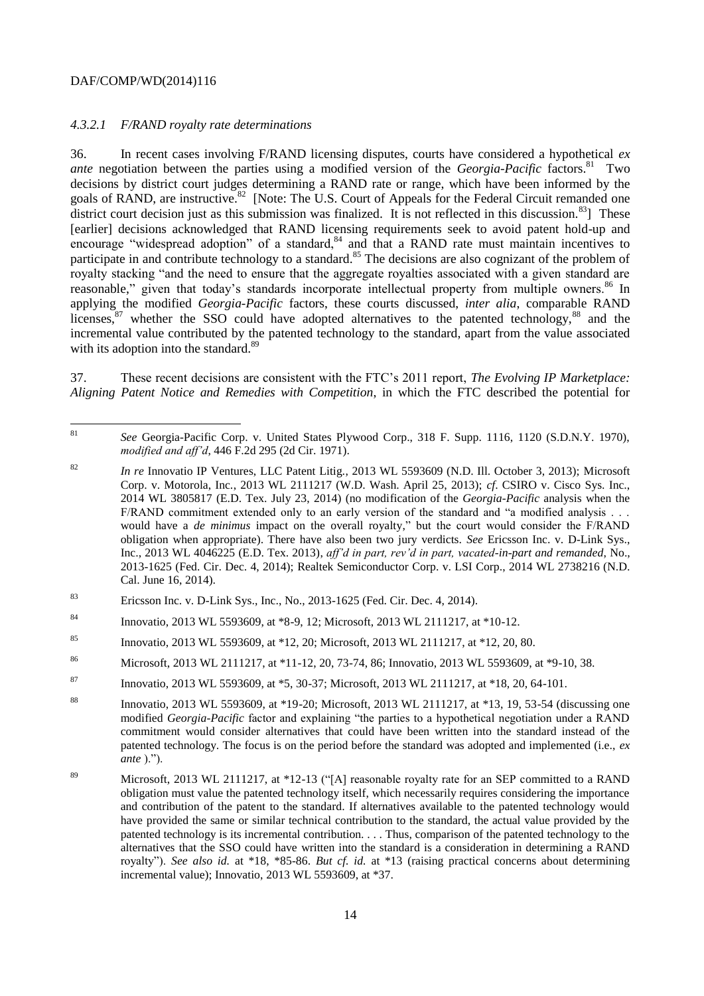#### *4.3.2.1 F/RAND royalty rate determinations*

36. In recent cases involving F/RAND licensing disputes, courts have considered a hypothetical *ex ante* negotiation between the parties using a modified version of the *Georgia-Pacific* factors.<sup>81</sup> Two decisions by district court judges determining a RAND rate or range, which have been informed by the goals of RAND, are instructive.<sup>82</sup> [Note: The U.S. Court of Appeals for the Federal Circuit remanded one district court decision just as this submission was finalized. It is not reflected in this discussion.<sup>83</sup>] These [earlier] decisions acknowledged that RAND licensing requirements seek to avoid patent hold-up and encourage "widespread adoption" of a standard,<sup>84</sup> and that a RAND rate must maintain incentives to participate in and contribute technology to a standard.<sup>85</sup> The decisions are also cognizant of the problem of royalty stacking "and the need to ensure that the aggregate royalties associated with a given standard are reasonable," given that today's standards incorporate intellectual property from multiple owners.<sup>86</sup> In applying the modified *Georgia-Pacific* factors, these courts discussed, *inter alia*, comparable RAND licenses, $87$  whether the SSO could have adopted alternatives to the patented technology,  $88$  and the incremental value contributed by the patented technology to the standard, apart from the value associated with its adoption into the standard.<sup>89</sup>

37. These recent decisions are consistent with the FTC's 2011 report, *The Evolving IP Marketplace: Aligning Patent Notice and Remedies with Competition*, in which the FTC described the potential for

- <sup>83</sup> Ericsson Inc. v. D-Link Sys., Inc., No., 2013-1625 (Fed. Cir. Dec. 4, 2014).
- <sup>84</sup> Innovatio, 2013 WL 5593609, at \*8-9, 12; Microsoft, 2013 WL 2111217, at \*10-12.
- <sup>85</sup> Innovatio, 2013 WL 5593609, at \*12, 20; Microsoft, 2013 WL 2111217, at \*12, 20, 80.
- <sup>86</sup> Microsoft, 2013 WL 2111217, at \*11-12, 20, 73-74, 86; Innovatio, 2013 WL 5593609, at \*9-10, 38.
- 87 Innovatio, 2013 WL 5593609, at \*5, 30-37; Microsoft, 2013 WL 2111217, at \*18, 20, 64-101.

 $81$ See Georgia-Pacific Corp. v. United States Plywood Corp., 318 F. Supp. 1116, 1120 (S.D.N.Y. 1970), *modified and aff'd*, 446 F.2d 295 (2d Cir. 1971).

<sup>82</sup> *In re* Innovatio IP Ventures, LLC Patent Litig*.*, 2013 WL 5593609 (N.D. Ill. October 3, 2013); Microsoft Corp. v. Motorola, Inc., 2013 WL 2111217 (W.D. Wash. April 25, 2013); *cf*. CSIRO v. Cisco Sys. Inc., 2014 WL 3805817 (E.D. Tex. July 23, 2014) (no modification of the *Georgia-Pacific* analysis when the F/RAND commitment extended only to an early version of the standard and "a modified analysis . . . would have a *de minimus* impact on the overall royalty," but the court would consider the F/RAND obligation when appropriate). There have also been two jury verdicts. *See* Ericsson Inc. v. D-Link Sys., Inc., 2013 WL 4046225 (E.D. Tex. 2013), *aff'd in part, rev'd in part, vacated-in-part and remanded*, No., 2013-1625 (Fed. Cir. Dec. 4, 2014); Realtek Semiconductor Corp. v. LSI Corp., 2014 WL 2738216 (N.D. Cal. June 16, 2014).

<sup>88</sup> Innovatio, 2013 WL 5593609, at \*19-20; Microsoft, 2013 WL 2111217, at \*13, 19, 53-54 (discussing one modified *Georgia-Pacific* factor and explaining "the parties to a hypothetical negotiation under a RAND commitment would consider alternatives that could have been written into the standard instead of the patented technology. The focus is on the period before the standard was adopted and implemented (i.e., *ex ante* ).").

<sup>89</sup> Microsoft, 2013 WL 2111217, at \*12-13 ("[A] reasonable royalty rate for an SEP committed to a RAND obligation must value the patented technology itself, which necessarily requires considering the importance and contribution of the patent to the standard. If alternatives available to the patented technology would have provided the same or similar technical contribution to the standard, the actual value provided by the patented technology is its incremental contribution. . . . Thus, comparison of the patented technology to the alternatives that the SSO could have written into the standard is a consideration in determining a RAND royalty"). *See also id.* at \*18, \*85-86. *But cf. id.* at \*13 (raising practical concerns about determining incremental value); Innovatio, 2013 WL 5593609, at \*37.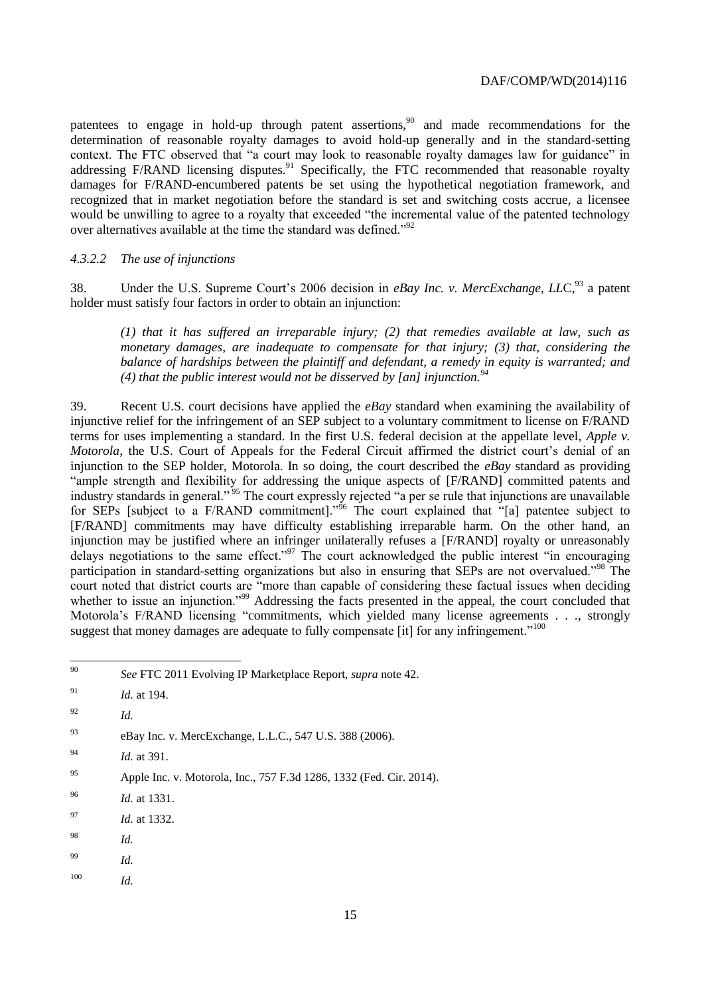patentees to engage in hold-up through patent assertions,<sup>90</sup> and made recommendations for the determination of reasonable royalty damages to avoid hold-up generally and in the standard-setting context. The FTC observed that "a court may look to reasonable royalty damages law for guidance" in addressing F/RAND licensing disputes.<sup>91</sup> Specifically, the FTC recommended that reasonable royalty damages for F/RAND-encumbered patents be set using the hypothetical negotiation framework, and recognized that in market negotiation before the standard is set and switching costs accrue, a licensee would be unwilling to agree to a royalty that exceeded "the incremental value of the patented technology over alternatives available at the time the standard was defined."<sup>92</sup>

#### *4.3.2.2 The use of injunctions*

38. Under the U.S. Supreme Court's 2006 decision in *eBay Inc. v. MercExchange, LLC*,<sup>93</sup> a patent holder must satisfy four factors in order to obtain an injunction:

*(1) that it has suffered an irreparable injury; (2) that remedies available at law, such as monetary damages, are inadequate to compensate for that injury; (3) that, considering the balance of hardships between the plaintiff and defendant, a remedy in equity is warranted; and (4) that the public interest would not be disserved by [an] injunction.<sup>94</sup>*

39. Recent U.S. court decisions have applied the *eBay* standard when examining the availability of injunctive relief for the infringement of an SEP subject to a voluntary commitment to license on F/RAND terms for uses implementing a standard. In the first U.S. federal decision at the appellate level, *Apple v. Motorola*, the U.S. Court of Appeals for the Federal Circuit affirmed the district court's denial of an injunction to the SEP holder, Motorola. In so doing, the court described the *eBay* standard as providing "ample strength and flexibility for addressing the unique aspects of [F/RAND] committed patents and industry standards in general."<sup>95</sup> The court expressly rejected "a per se rule that injunctions are unavailable for SEPs [subject to a F/RAND commitment]."<sup>96</sup> The court explained that "[a] patentee subject to [F/RAND] commitments may have difficulty establishing irreparable harm. On the other hand, an injunction may be justified where an infringer unilaterally refuses a [F/RAND] royalty or unreasonably delays negotiations to the same effect."<sup>97</sup> The court acknowledged the public interest "in encouraging participation in standard-setting organizations but also in ensuring that SEPs are not overvalued."<sup>98</sup> The court noted that district courts are "more than capable of considering these factual issues when deciding whether to issue an injunction."<sup>99</sup> Addressing the facts presented in the appeal, the court concluded that Motorola's F/RAND licensing "commitments, which yielded many license agreements . . ., strongly suggest that money damages are adequate to fully compensate [it] for any infringement."<sup>100</sup>

| 90 | See FTC 2011 Evolving IP Marketplace Report, <i>supra</i> note 42. |  |
|----|--------------------------------------------------------------------|--|
|    |                                                                    |  |

 $\overline{a}$ 

- <sup>93</sup> eBay Inc. v. MercExchange, L.L.C., 547 U.S. 388 (2006).
- <sup>94</sup> *Id.* at 391.
- <sup>95</sup> Apple Inc. v. Motorola, Inc., 757 F.3d 1286, 1332 (Fed. Cir. 2014).
- <sup>96</sup> *Id.* at 1331.
- <sup>97</sup> *Id.* at 1332.
- <sup>98</sup> *Id.*
- <sup>99</sup> *Id.*
- <sup>100</sup> *Id.*

<sup>91</sup> *Id.* at 194.

<sup>92</sup> *Id.*